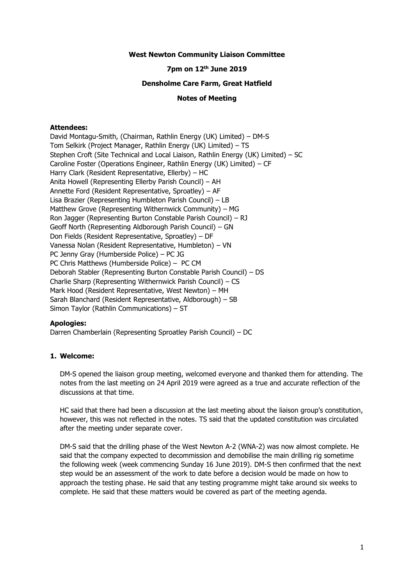#### **West Newton Community Liaison Committee**

## **7pm on 12th June 2019**

#### **Densholme Care Farm, Great Hatfield**

## **Notes of Meeting**

## **Attendees:**

David Montagu-Smith, (Chairman, Rathlin Energy (UK) Limited) – DM-S Tom Selkirk (Project Manager, Rathlin Energy (UK) Limited) – TS Stephen Croft (Site Technical and Local Liaison, Rathlin Energy (UK) Limited) – SC Caroline Foster (Operations Engineer, Rathlin Energy (UK) Limited) – CF Harry Clark (Resident Representative, Ellerby) – HC Anita Howell (Representing Ellerby Parish Council) – AH Annette Ford (Resident Representative, Sproatley) – AF Lisa Brazier (Representing Humbleton Parish Council) – LB Matthew Grove (Representing Withernwick Community) – MG Ron Jagger (Representing Burton Constable Parish Council) – RJ Geoff North (Representing Aldborough Parish Council) – GN Don Fields (Resident Representative, Sproatley) – DF Vanessa Nolan (Resident Representative, Humbleton) – VN PC Jenny Gray (Humberside Police) – PC JG PC Chris Matthews (Humberside Police) – PC CM Deborah Stabler (Representing Burton Constable Parish Council) – DS Charlie Sharp (Representing Withernwick Parish Council) – CS Mark Hood (Resident Representative, West Newton) – MH Sarah Blanchard (Resident Representative, Aldborough) – SB Simon Taylor (Rathlin Communications) – ST

### **Apologies:**

Darren Chamberlain (Representing Sproatley Parish Council) – DC

# **1. Welcome:**

DM-S opened the liaison group meeting, welcomed everyone and thanked them for attending. The notes from the last meeting on 24 April 2019 were agreed as a true and accurate reflection of the discussions at that time.

HC said that there had been a discussion at the last meeting about the liaison group's constitution, however, this was not reflected in the notes. TS said that the updated constitution was circulated after the meeting under separate cover.

DM-S said that the drilling phase of the West Newton A-2 (WNA-2) was now almost complete. He said that the company expected to decommission and demobilise the main drilling rig sometime the following week (week commencing Sunday 16 June 2019). DM-S then confirmed that the next step would be an assessment of the work to date before a decision would be made on how to approach the testing phase. He said that any testing programme might take around six weeks to complete. He said that these matters would be covered as part of the meeting agenda.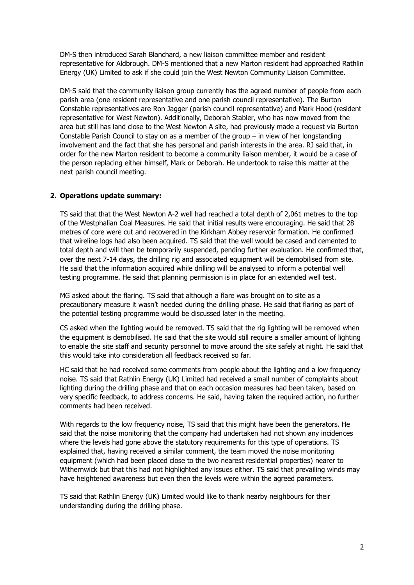DM-S then introduced Sarah Blanchard, a new liaison committee member and resident representative for Aldbrough. DM-S mentioned that a new Marton resident had approached Rathlin Energy (UK) Limited to ask if she could join the West Newton Community Liaison Committee.

DM-S said that the community liaison group currently has the agreed number of people from each parish area (one resident representative and one parish council representative). The Burton Constable representatives are Ron Jagger (parish council representative) and Mark Hood (resident representative for West Newton). Additionally, Deborah Stabler, who has now moved from the area but still has land close to the West Newton A site, had previously made a request via Burton Constable Parish Council to stay on as a member of the group – in view of her longstanding involvement and the fact that she has personal and parish interests in the area. RJ said that, in order for the new Marton resident to become a community liaison member, it would be a case of the person replacing either himself, Mark or Deborah. He undertook to raise this matter at the next parish council meeting.

### **2. Operations update summary:**

TS said that that the West Newton A-2 well had reached a total depth of 2,061 metres to the top of the Westphalian Coal Measures. He said that initial results were encouraging. He said that 28 metres of core were cut and recovered in the Kirkham Abbey reservoir formation. He confirmed that wireline logs had also been acquired. TS said that the well would be cased and cemented to total depth and will then be temporarily suspended, pending further evaluation. He confirmed that, over the next 7-14 days, the drilling rig and associated equipment will be demobilised from site. He said that the information acquired while drilling will be analysed to inform a potential well testing programme. He said that planning permission is in place for an extended well test.

MG asked about the flaring. TS said that although a flare was brought on to site as a precautionary measure it wasn't needed during the drilling phase. He said that flaring as part of the potential testing programme would be discussed later in the meeting.

CS asked when the lighting would be removed. TS said that the rig lighting will be removed when the equipment is demobilised. He said that the site would still require a smaller amount of lighting to enable the site staff and security personnel to move around the site safely at night. He said that this would take into consideration all feedback received so far.

HC said that he had received some comments from people about the lighting and a low frequency noise. TS said that Rathlin Energy (UK) Limited had received a small number of complaints about lighting during the drilling phase and that on each occasion measures had been taken, based on very specific feedback, to address concerns. He said, having taken the required action, no further comments had been received.

With regards to the low frequency noise, TS said that this might have been the generators. He said that the noise monitoring that the company had undertaken had not shown any incidences where the levels had gone above the statutory requirements for this type of operations. TS explained that, having received a similar comment, the team moved the noise monitoring equipment (which had been placed close to the two nearest residential properties) nearer to Withernwick but that this had not highlighted any issues either. TS said that prevailing winds may have heightened awareness but even then the levels were within the agreed parameters.

TS said that Rathlin Energy (UK) Limited would like to thank nearby neighbours for their understanding during the drilling phase.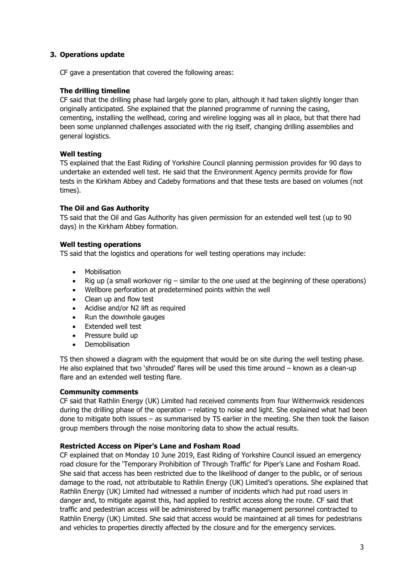# **3. Operations update**

CF gave a presentation that covered the following areas:

## **The drilling timeline**

CF said that the drilling phase had largely gone to plan, although it had taken slightly longer than originally anticipated. She explained that the planned programme of running the casing, cementing, installing the wellhead, coring and wireline logging was all in place, but that there had been some unplanned challenges associated with the rig itself, changing drilling assemblies and general logistics.

# **Well testing**

TS explained that the East Riding of Yorkshire Council planning permission provides for 90 days to undertake an extended well test. He said that the Environment Agency permits provide for flow tests in the Kirkham Abbey and Cadeby formations and that these tests are based on volumes (not times).

# **The Oil and Gas Authority**

TS said that the Oil and Gas Authority has given permission for an extended well test (up to 90 days) in the Kirkham Abbey formation.

# **Well testing operations**

TS said that the logistics and operations for well testing operations may include:

- Mobilisation
- Rig up (a small workover rig similar to the one used at the beginning of these operations)
- Wellbore perforation at predetermined points within the well
- Clean up and flow test
- Acidise and/or N2 lift as required
- Run the downhole gauges
- Extended well test
- Pressure build up
- Demobilisation

TS then showed a diagram with the equipment that would be on site during the well testing phase. He also explained that two 'shrouded' flares will be used this time around – known as a clean-up flare and an extended well testing flare.

### **Community comments**

CF said that Rathlin Energy (UK) Limited had received comments from four Withernwick residences during the drilling phase of the operation – relating to noise and light. She explained what had been done to mitigate both issues – as summarised by TS earlier in the meeting. She then took the liaison group members through the noise monitoring data to show the actual results.

### **Restricted Access on Piper's Lane and Fosham Road**

CF explained that on Monday 10 June 2019, East Riding of Yorkshire Council issued an emergency road closure for the 'Temporary Prohibition of Through Traffic' for Piper's Lane and Fosham Road. She said that access has been restricted due to the likelihood of danger to the public, or of serious damage to the road, not attributable to Rathlin Energy (UK) Limited's operations. She explained that Rathlin Energy (UK) Limited had witnessed a number of incidents which had put road users in danger and, to mitigate against this, had applied to restrict access along the route. CF said that traffic and pedestrian access will be administered by traffic management personnel contracted to Rathlin Energy (UK) Limited. She said that access would be maintained at all times for pedestrians and vehicles to properties directly affected by the closure and for the emergency services.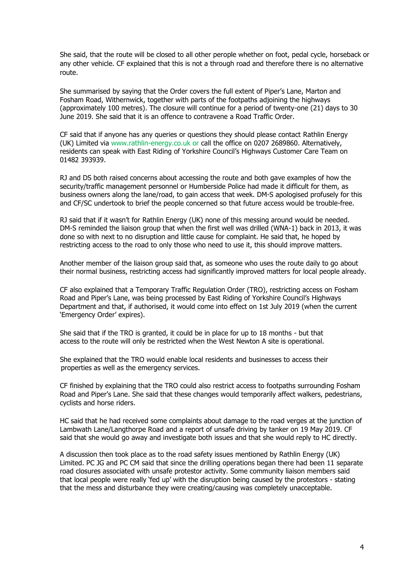She said, that the route will be closed to all other perople whether on foot, pedal cycle, horseback or any other vehicle. CF explained that this is not a through road and therefore there is no alternative route.

She summarised by saying that the Order covers the full extent of Piper's Lane, Marton and Fosham Road, Withernwick, together with parts of the footpaths adjoining the highways (approximately 100 metres). The closure will continue for a period of twenty-one (21) days to 30 June 2019. She said that it is an offence to contravene a Road Traffic Order.

CF said that if anyone has any queries or questions they should please contact Rathlin Energy (UK) Limited via [www.rathlin-energy.co.uk](http://www.rathlin-energy.co.uk/) or call the office on 0207 2689860. Alternatively, residents can speak with East Riding of Yorkshire Council's Highways Customer Care Team on 01482 393939.

RJ and DS both raised concerns about accessing the route and both gave examples of how the security/traffic management personnel or Humberside Police had made it difficult for them, as business owners along the lane/road, to gain access that week. DM-S apologised profusely for this and CF/SC undertook to brief the people concerned so that future access would be trouble-free.

RJ said that if it wasn't for Rathlin Energy (UK) none of this messing around would be needed. DM-S reminded the liaison group that when the first well was drilled (WNA-1) back in 2013, it was done so with next to no disruption and little cause for complaint. He said that, he hoped by restricting access to the road to only those who need to use it, this should improve matters.

Another member of the liaison group said that, as someone who uses the route daily to go about their normal business, restricting access had significantly improved matters for local people already.

CF also explained that a Temporary Traffic Regulation Order (TRO), restricting access on Fosham Road and Piper's Lane, was being processed by East Riding of Yorkshire Council's Highways Department and that, if authorised, it would come into effect on 1st July 2019 (when the current 'Emergency Order' expires).

She said that if the TRO is granted, it could be in place for up to 18 months - but that access to the route will only be restricted when the West Newton A site is operational.

She explained that the TRO would enable local residents and businesses to access their properties as well as the emergency services.

CF finished by explaining that the TRO could also restrict access to footpaths surrounding Fosham Road and Piper's Lane. She said that these changes would temporarily affect walkers, pedestrians, cyclists and horse riders.

HC said that he had received some complaints about damage to the road verges at the junction of Lambwath Lane/Langthorpe Road and a report of unsafe driving by tanker on 19 May 2019. CF said that she would go away and investigate both issues and that she would reply to HC directly.

A discussion then took place as to the road safety issues mentioned by Rathlin Energy (UK) Limited. PC JG and PC CM said that since the drilling operations began there had been 11 separate road closures associated with unsafe protestor activity. Some community liaison members said that local people were really 'fed up' with the disruption being caused by the protestors - stating that the mess and disturbance they were creating/causing was completely unacceptable.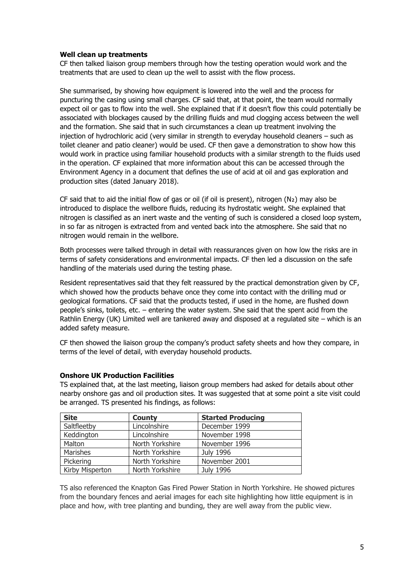## **Well clean up treatments**

CF then talked liaison group members through how the testing operation would work and the treatments that are used to clean up the well to assist with the flow process.

She summarised, by showing how equipment is lowered into the well and the process for puncturing the casing using small charges. CF said that, at that point, the team would normally expect oil or gas to flow into the well. She explained that if it doesn't flow this could potentially be associated with blockages caused by the drilling fluids and mud clogging access between the well and the formation. She said that in such circumstances a clean up treatment involving the injection of hydrochloric acid (very similar in strength to everyday household cleaners – such as toilet cleaner and patio cleaner) would be used. CF then gave a demonstration to show how this would work in practice using familiar household products with a similar strength to the fluids used in the operation. CF explained that more information about this can be accessed through the Environment Agency in a document that defines the use of acid at oil and gas exploration and production sites (dated January 2018).

CF said that to aid the initial flow of gas or oil (if oil is present), nitrogen (N₂) may also be introduced to displace the wellbore fluids, reducing its hydrostatic weight. She explained that nitrogen is classified as an inert waste and the venting of such is considered a closed loop system, in so far as nitrogen is extracted from and vented back into the atmosphere. She said that no nitrogen would remain in the wellbore.

Both processes were talked through in detail with reassurances given on how low the risks are in terms of safety considerations and environmental impacts. CF then led a discussion on the safe handling of the materials used during the testing phase.

Resident representatives said that they felt reassured by the practical demonstration given by CF, which showed how the products behave once they come into contact with the drilling mud or geological formations. CF said that the products tested, if used in the home, are flushed down people's sinks, toilets, etc. – entering the water system. She said that the spent acid from the Rathlin Energy (UK) Limited well are tankered away and disposed at a regulated site – which is an added safety measure.

CF then showed the liaison group the company's product safety sheets and how they compare, in terms of the level of detail, with everyday household products.

# **Onshore UK Production Facilities**

TS explained that, at the last meeting, liaison group members had asked for details about other nearby onshore gas and oil production sites. It was suggested that at some point a site visit could be arranged. TS presented his findings, as follows:

| <b>Site</b>     | <b>County</b>   | <b>Started Producing</b> |
|-----------------|-----------------|--------------------------|
| Saltfleetby     | Lincolnshire    | December 1999            |
| Keddington      | Lincolnshire    | November 1998            |
| Malton          | North Yorkshire | November 1996            |
| Marishes        | North Yorkshire | July 1996                |
| Pickering       | North Yorkshire | November 2001            |
| Kirby Misperton | North Yorkshire | <b>July 1996</b>         |

TS also referenced the Knapton Gas Fired Power Station in North Yorkshire. He showed pictures from the boundary fences and aerial images for each site highlighting how little equipment is in place and how, with tree planting and bunding, they are well away from the public view.